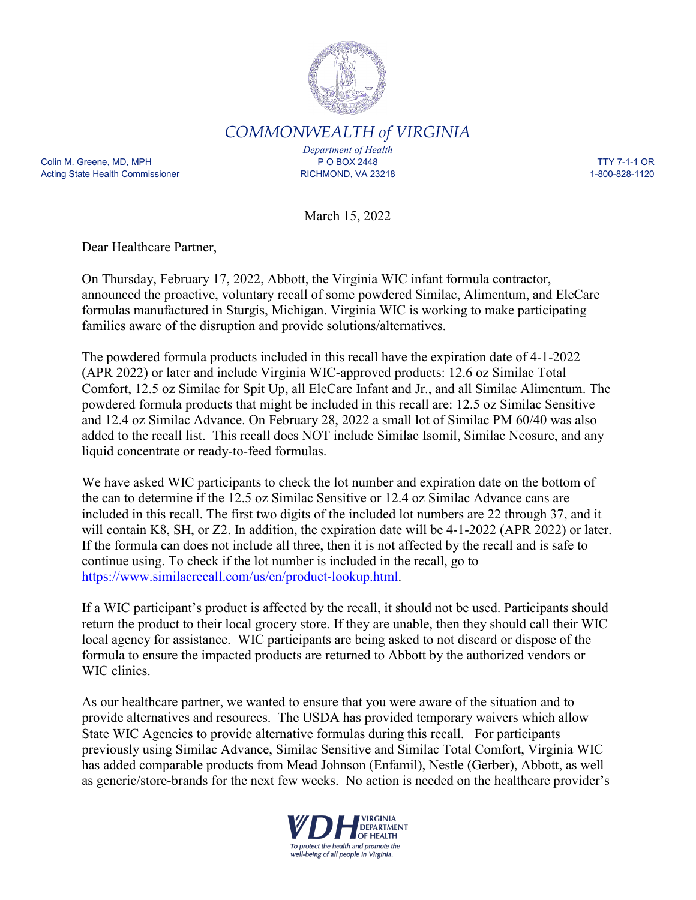

*COMMONWEALTH of VIRGINIA*

Colin M. Greene, MD, MPH P O BOX 2448 TTY 7-1-1 OR Acting State Health Commissioner The Commissioner RICHMOND, VA 23218 1-800-828-1120

*Department of Health*

March 15, 2022

Dear Healthcare Partner,

On Thursday, February 17, 2022, Abbott, the Virginia WIC infant formula contractor, announced the proactive, voluntary recall of some powdered Similac, Alimentum, and EleCare formulas manufactured in Sturgis, Michigan. Virginia WIC is working to make participating families aware of the disruption and provide solutions/alternatives.

The powdered formula products included in this recall have the expiration date of 4-1-2022 (APR 2022) or later and include Virginia WIC-approved products: 12.6 oz Similac Total Comfort, 12.5 oz Similac for Spit Up, all EleCare Infant and Jr., and all Similac Alimentum. The powdered formula products that might be included in this recall are: 12.5 oz Similac Sensitive and 12.4 oz Similac Advance. On February 28, 2022 a small lot of Similac PM 60/40 was also added to the recall list. This recall does NOT include Similac Isomil, Similac Neosure, and any liquid concentrate or ready-to-feed formulas.

We have asked WIC participants to check the lot number and expiration date on the bottom of the can to determine if the 12.5 oz Similac Sensitive or 12.4 oz Similac Advance cans are included in this recall. The first two digits of the included lot numbers are 22 through 37, and it will contain K8, SH, or Z2. In addition, the expiration date will be 4-1-2022 (APR 2022) or later. If the formula can does not include all three, then it is not affected by the recall and is safe to continue using. To check if the lot number is included in the recall, go to [https://www.similacrecall.com/us/en/product-lookup.html.](https://www.similacrecall.com/us/en/product-lookup.html)

If a WIC participant's product is affected by the recall, it should not be used. Participants should return the product to their local grocery store. If they are unable, then they should call their WIC local agency for assistance. WIC participants are being asked to not discard or dispose of the formula to ensure the impacted products are returned to Abbott by the authorized vendors or WIC clinics.

As our healthcare partner, we wanted to ensure that you were aware of the situation and to provide alternatives and resources. The USDA has provided temporary waivers which allow State WIC Agencies to provide alternative formulas during this recall. For participants previously using Similac Advance, Similac Sensitive and Similac Total Comfort, Virginia WIC has added comparable products from Mead Johnson (Enfamil), Nestle (Gerber), Abbott, as well as generic/store-brands for the next few weeks. No action is needed on the healthcare provider's